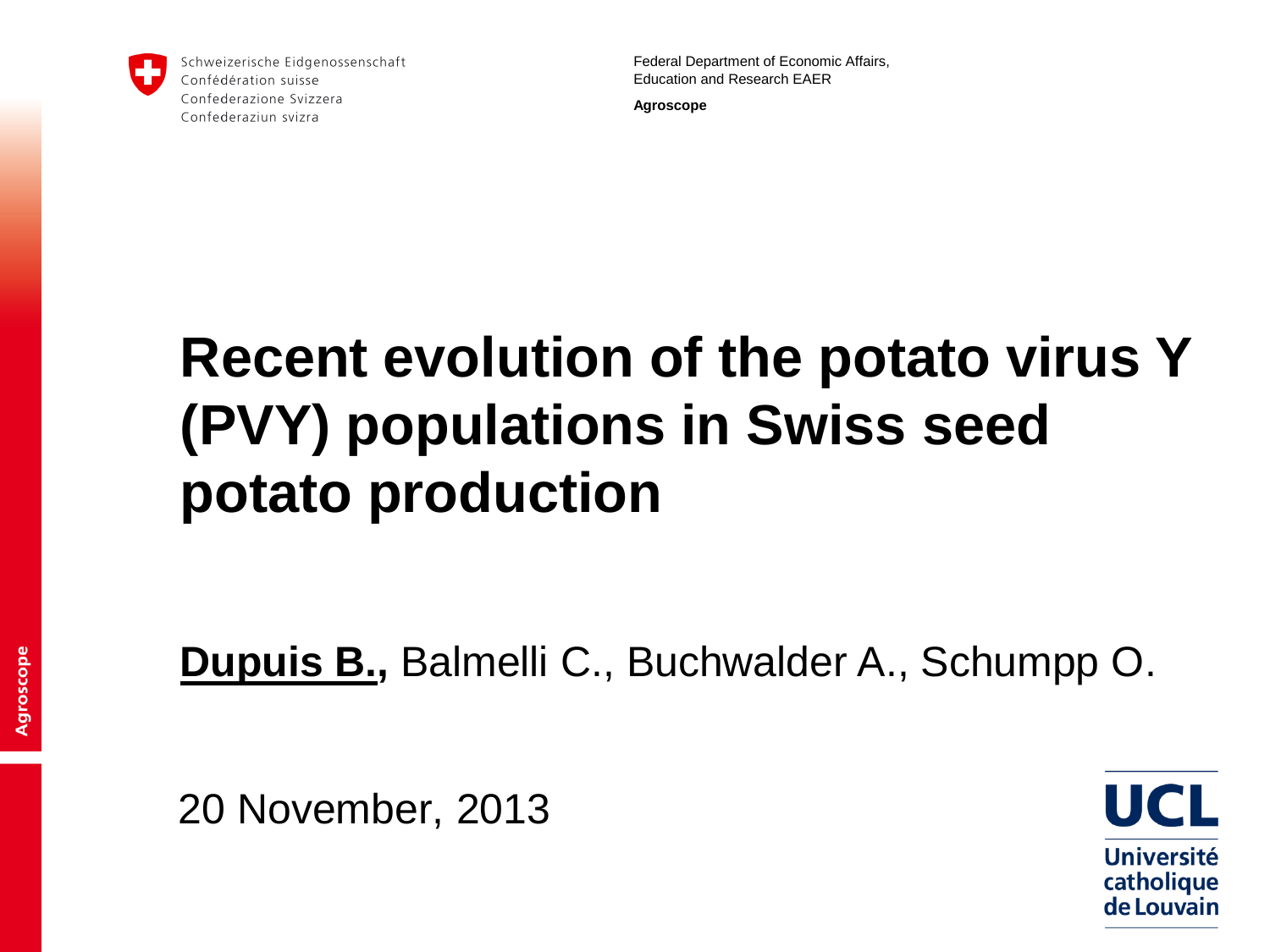

Schweizerische Eidgenossenschaft Confédération suisse Confederazione Svizzera Confederaziun svizra

Federal Department of Economic Affairs, Education and Research EAER

**Agroscope**

# **Recent evolution of the potato virus Y (PVY) populations in Swiss seed potato production**

**Dupuis B.,** Balmelli C., Buchwalder A., Schumpp O.

20 November, 2013

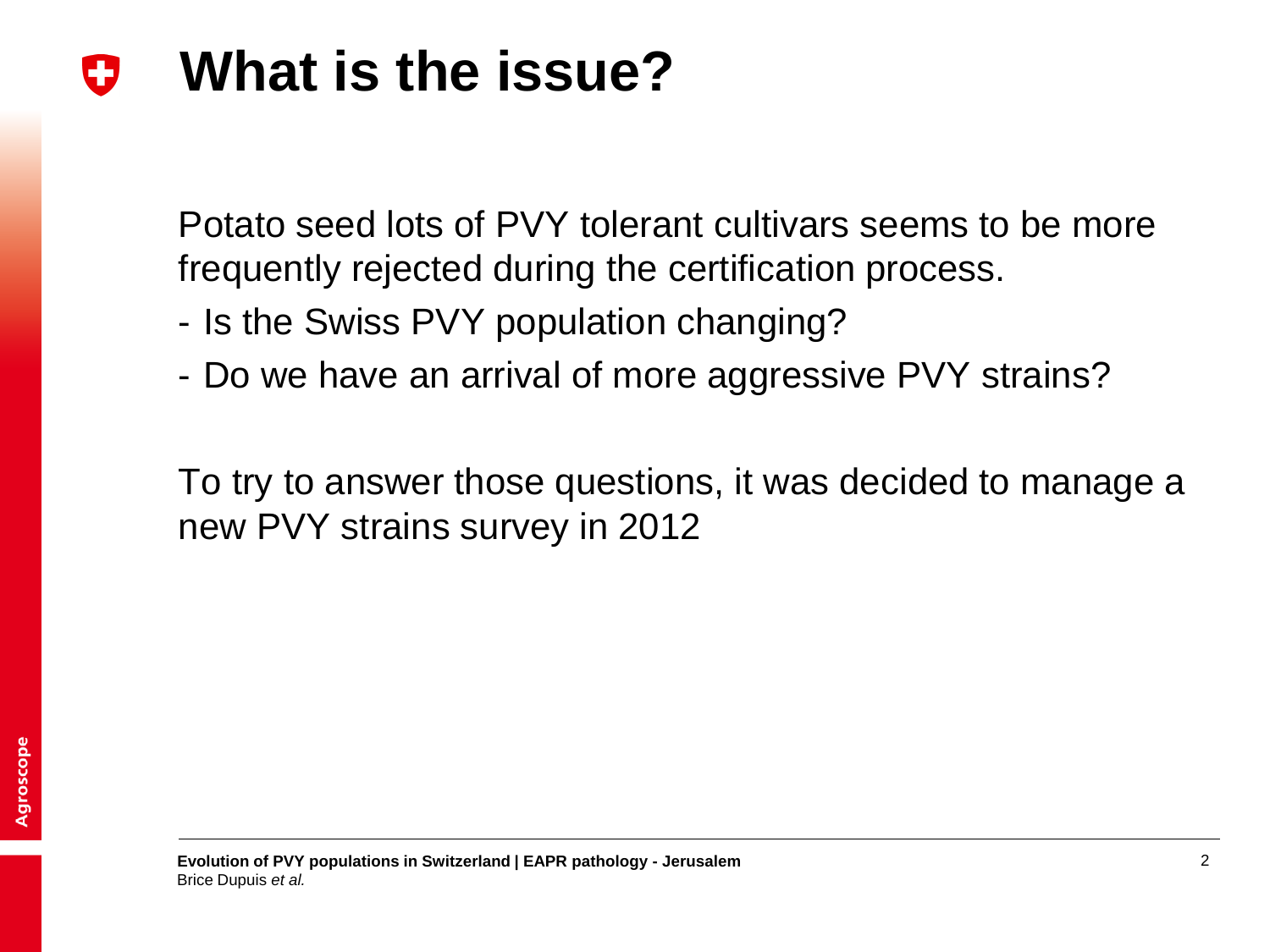#### **What is the issue?** W

Potato seed lots of PVY tolerant cultivars seems to be more frequently rejected during the certification process.

- Is the Swiss PVY population changing?
- Do we have an arrival of more aggressive PVY strains?

To try to answer those questions, it was decided to manage a new PVY strains survey in 2012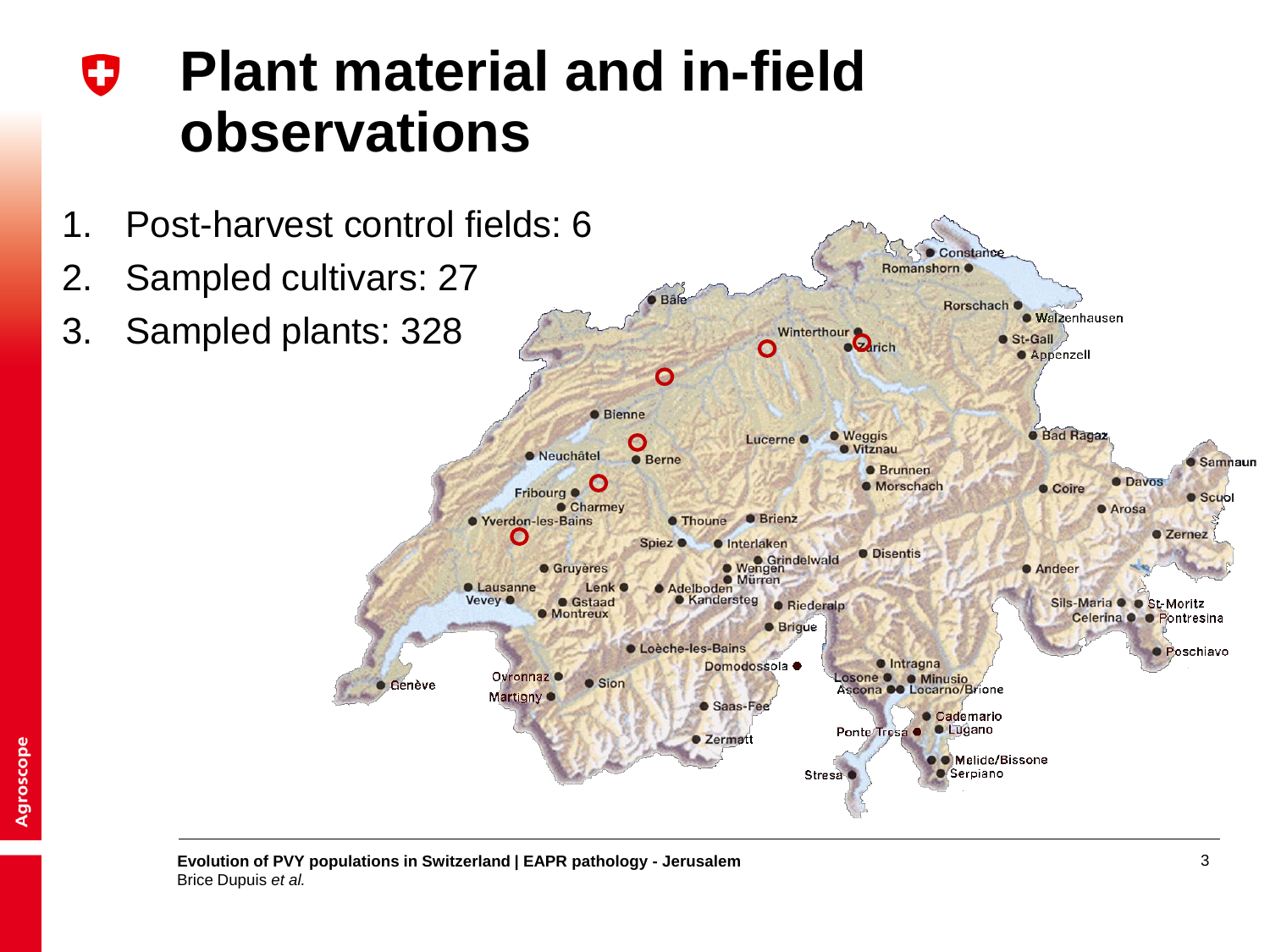### **Plant material and in-field**  0 **observations**



**Evolution of PVY populations in Switzerland | EAPR pathology - Jerusalem** 3 Brice Dupuis *et al.*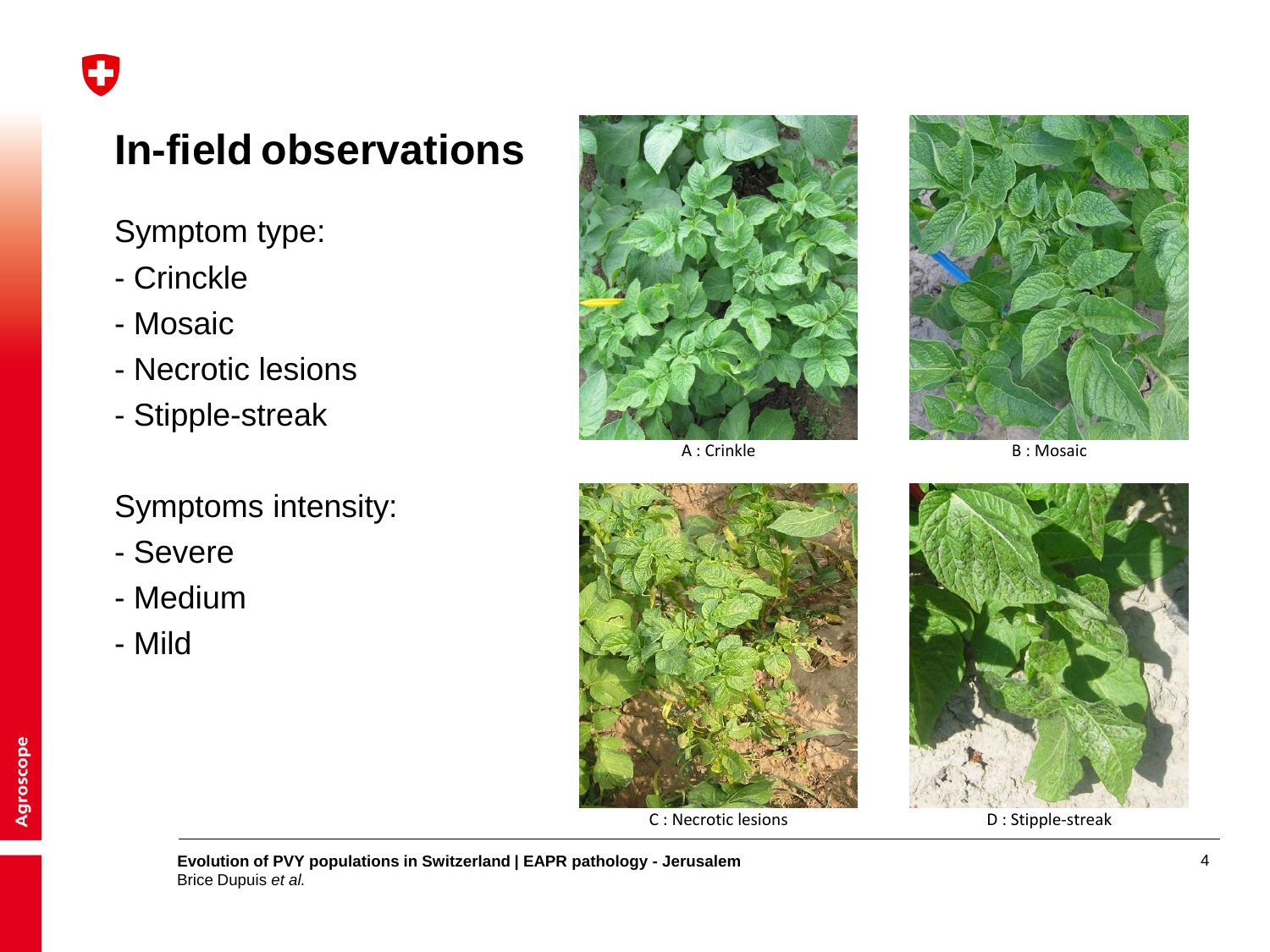## **In-field observations**

Symptom type:

- Crinckle
- Mosaic
- Necrotic lesions
- Stipple-streak

### Symptoms intensity:

- Severe
- Medium
- Mild



A : Crinkle B : Mosaic





C : Necrotic lesions D : Stipple-streak

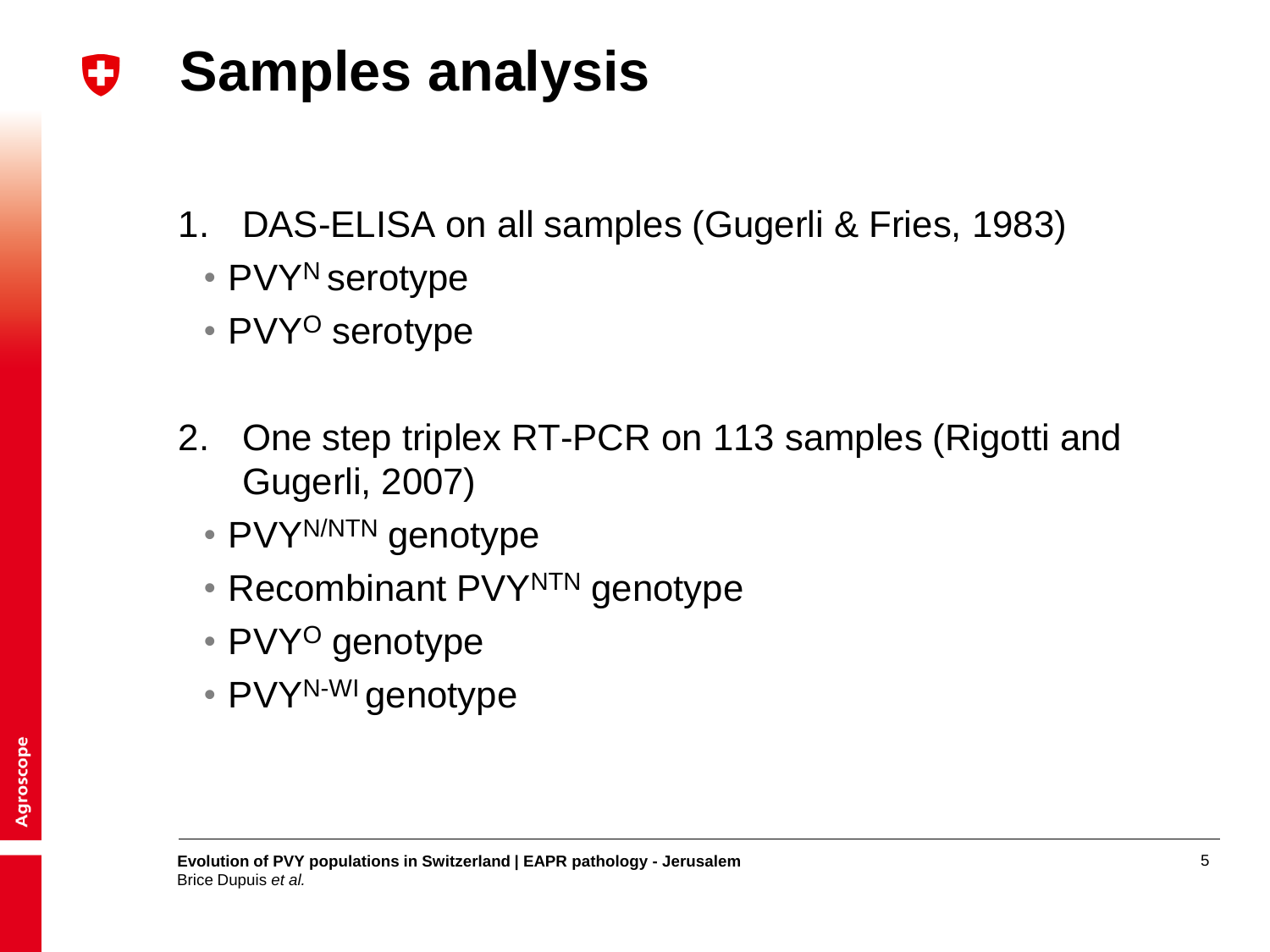#### **Samples analysis** IJ

- 1. DAS-ELISA on all samples (Gugerli & Fries, 1983)
	- PVY<sup>N</sup> serotype
	- PVY<sup>O</sup> serotype
- 2. One step triplex RT-PCR on 113 samples (Rigotti and Gugerli, 2007)
	- PVYN/NTN genotype
	- Recombinant PVYNTN genotype
	- PVY<sup>O</sup> genotype
	- PVY<sup>N-WI</sup> genotype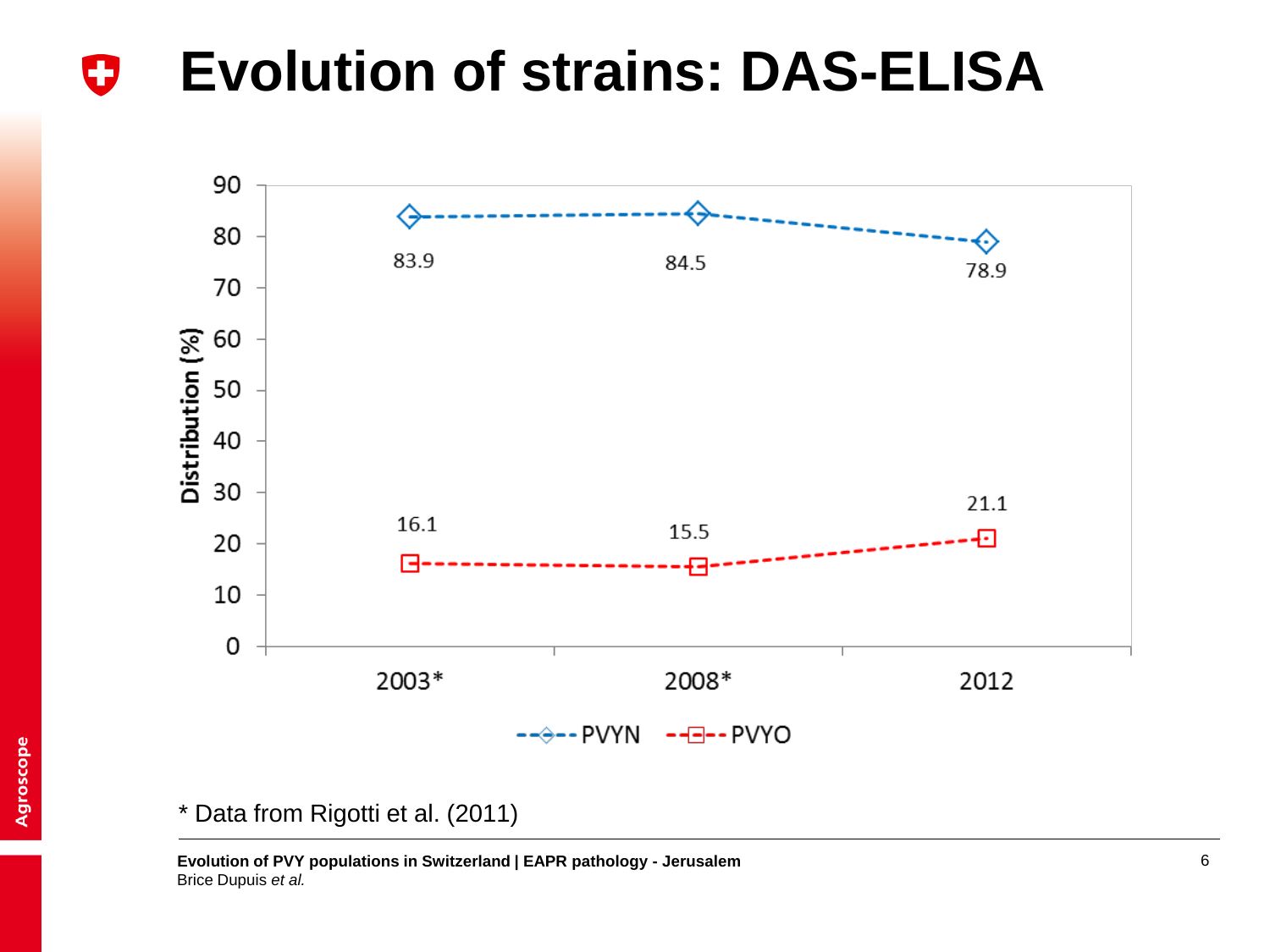#### **Evolution of strains: DAS-ELISA** 0



#### \* Data from Rigotti et al. (2011)

**Evolution of PVY populations in Switzerland | EAPR pathology - Jerusalem** 6 Brice Dupuis *et al.*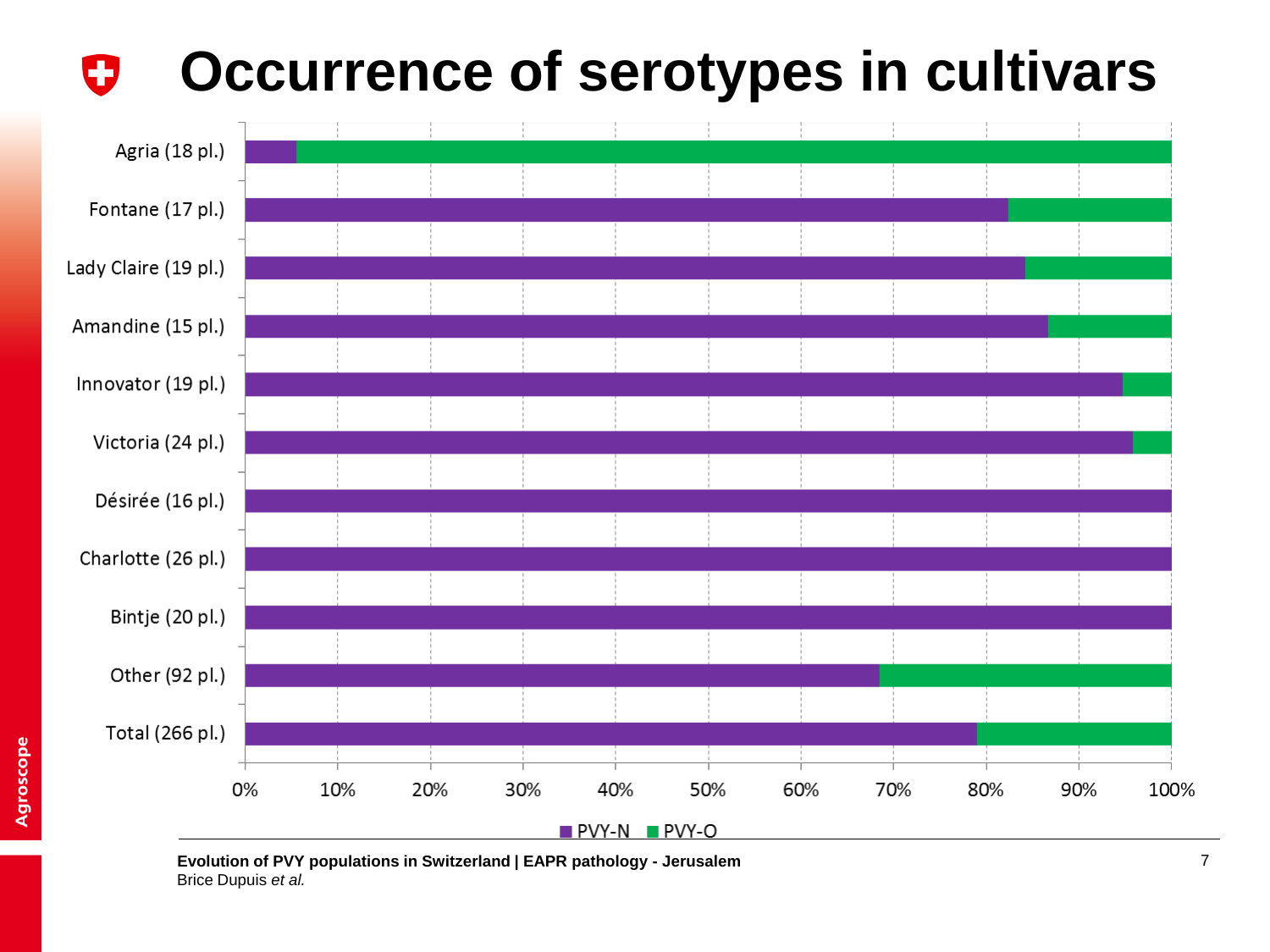#### **Occurrence of serotypes in cultivars**O



**Evolution of PVY populations in Switzerland | EAPR pathology - Jerusalem** 7 Brice Dupuis *et al.*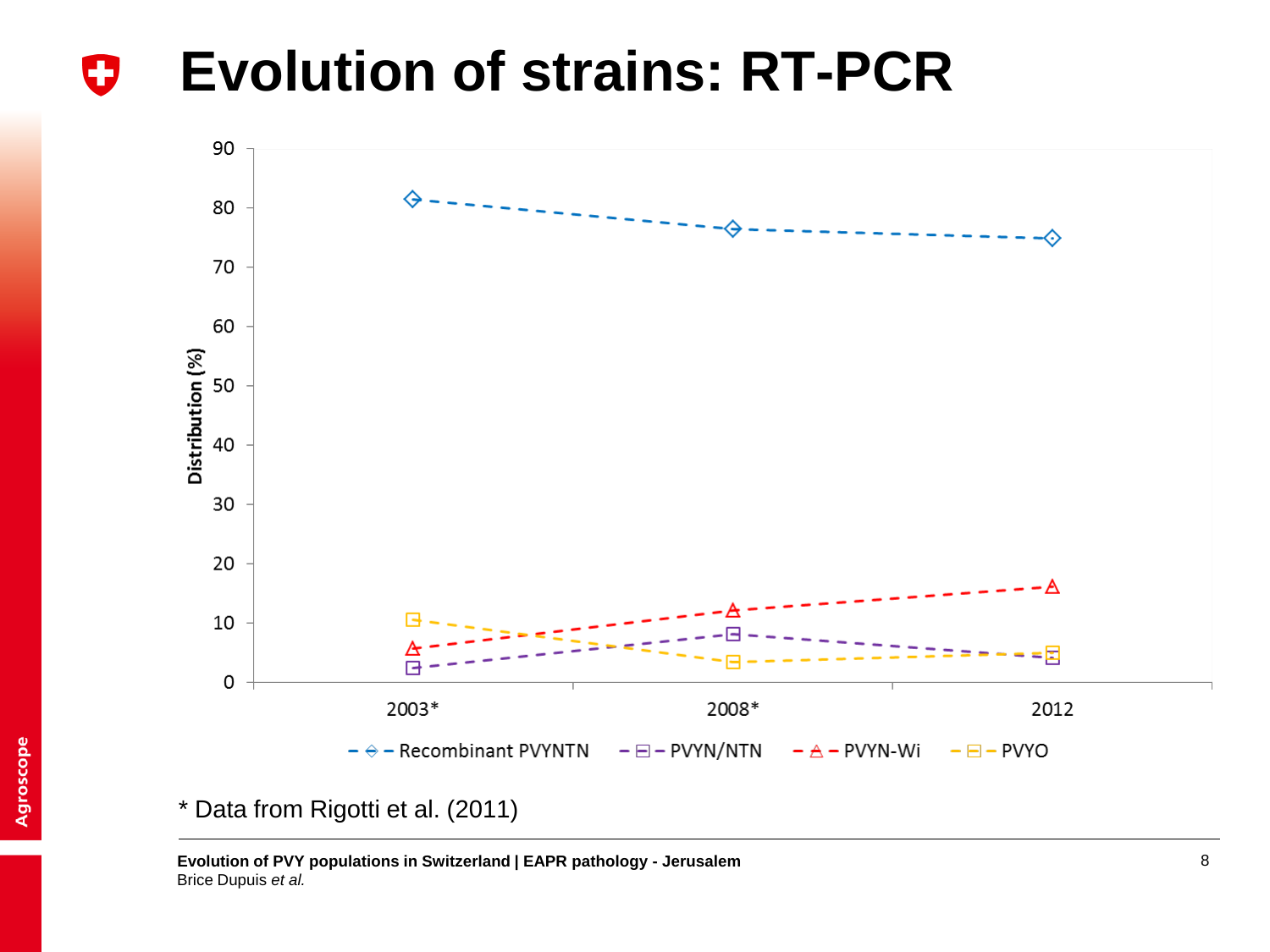#### **Evolution of strains: RT-PCR** IJ



\* Data from Rigotti et al. (2011)

**Evolution of PVY populations in Switzerland | EAPR pathology - Jerusalem** 8 Brice Dupuis *et al.*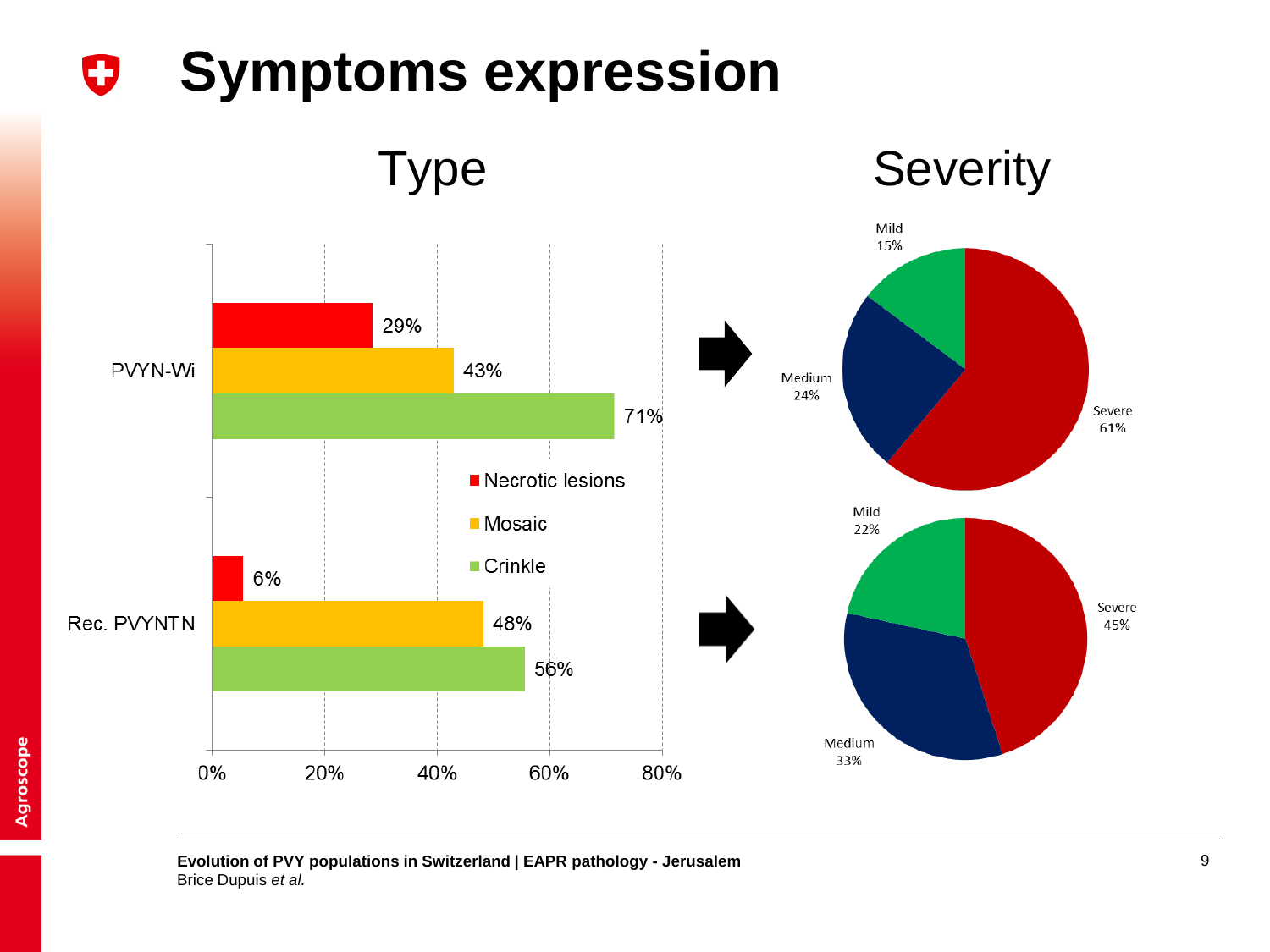#### **Symptoms expression** 0



#### **Evolution of PVY populations in Switzerland | EAPR pathology - Jerusalem** 9 Brice Dupuis *et al.*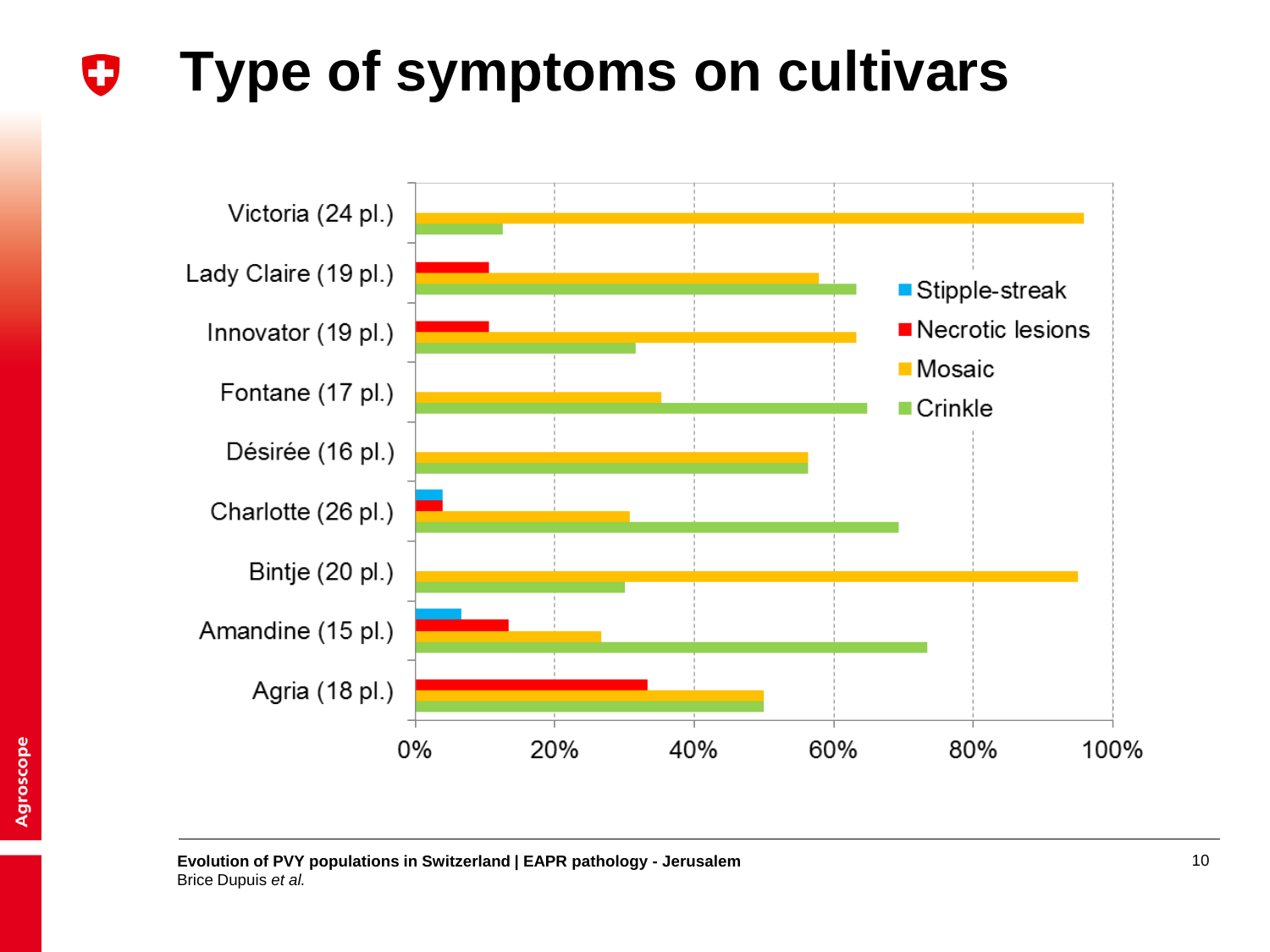#### **Type of symptoms on cultivars**IJ

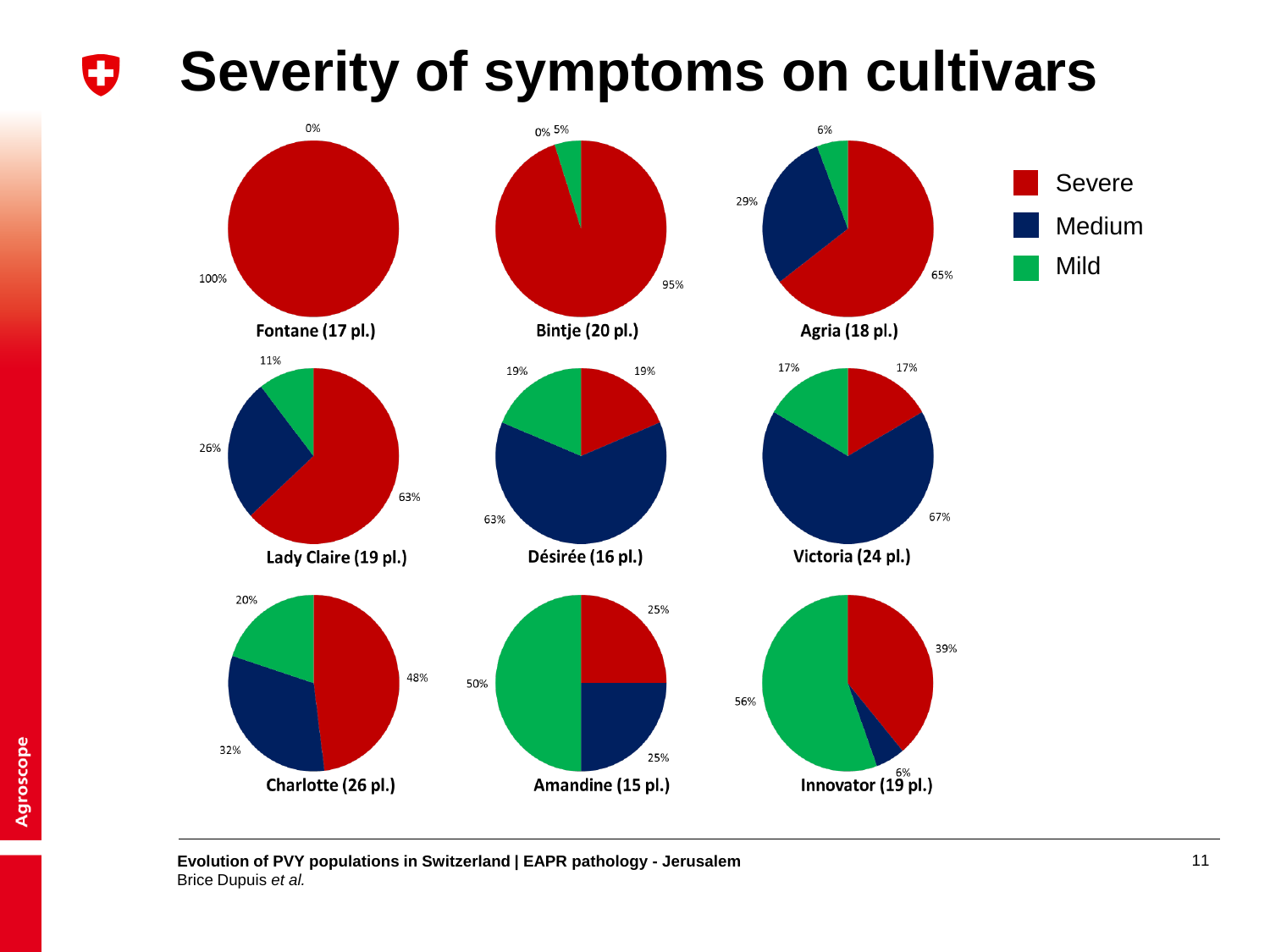#### **Severity of symptoms on cultivars** O



**Evolution of PVY populations in Switzerland | EAPR pathology - Jerusalem** 11 Brice Dupuis *et al.*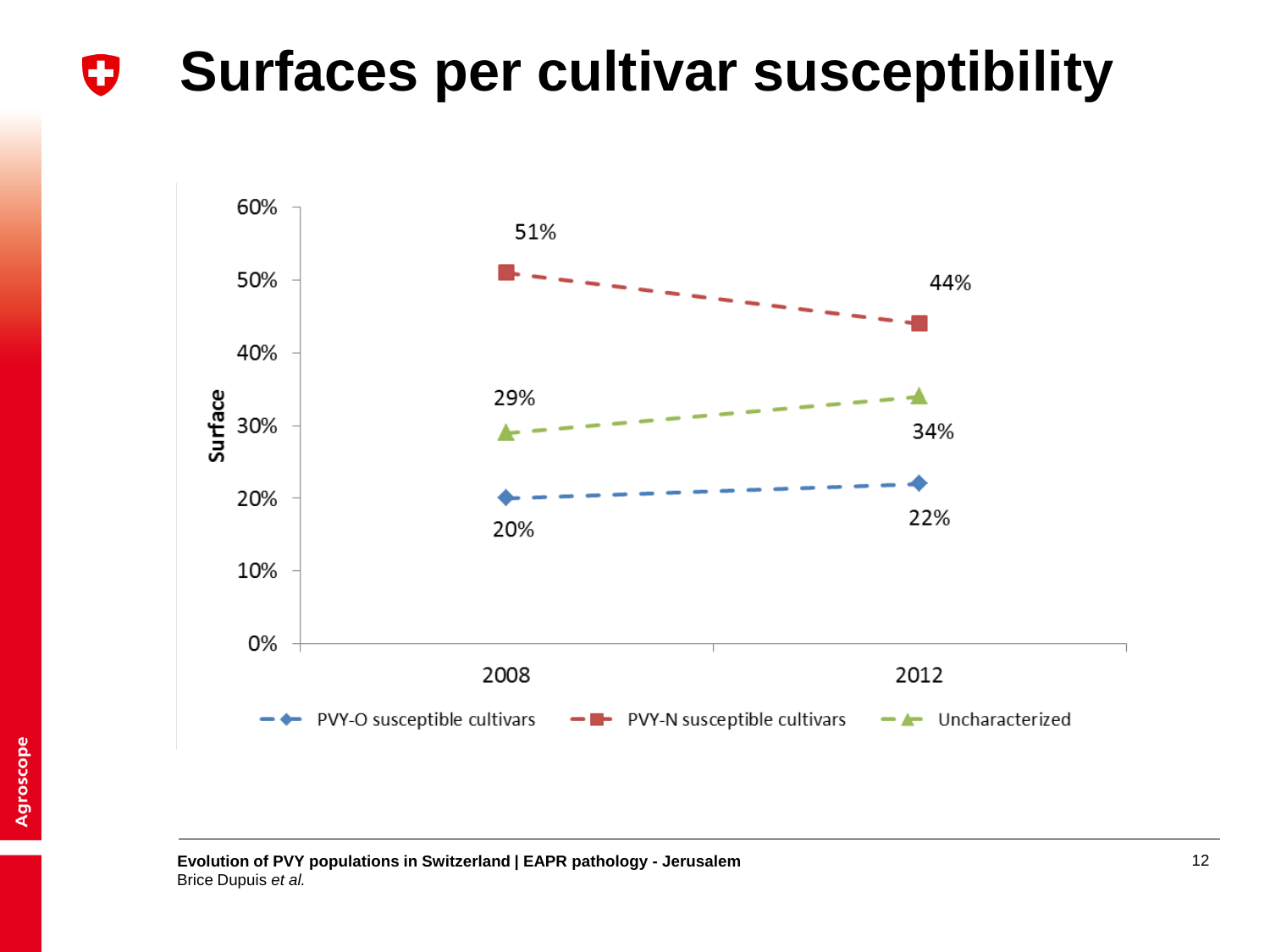#### **Surfaces per cultivar susceptibility**O



**Evolution of PVY populations in Switzerland | EAPR pathology - Jerusalem** 12 Brice Dupuis *et al.*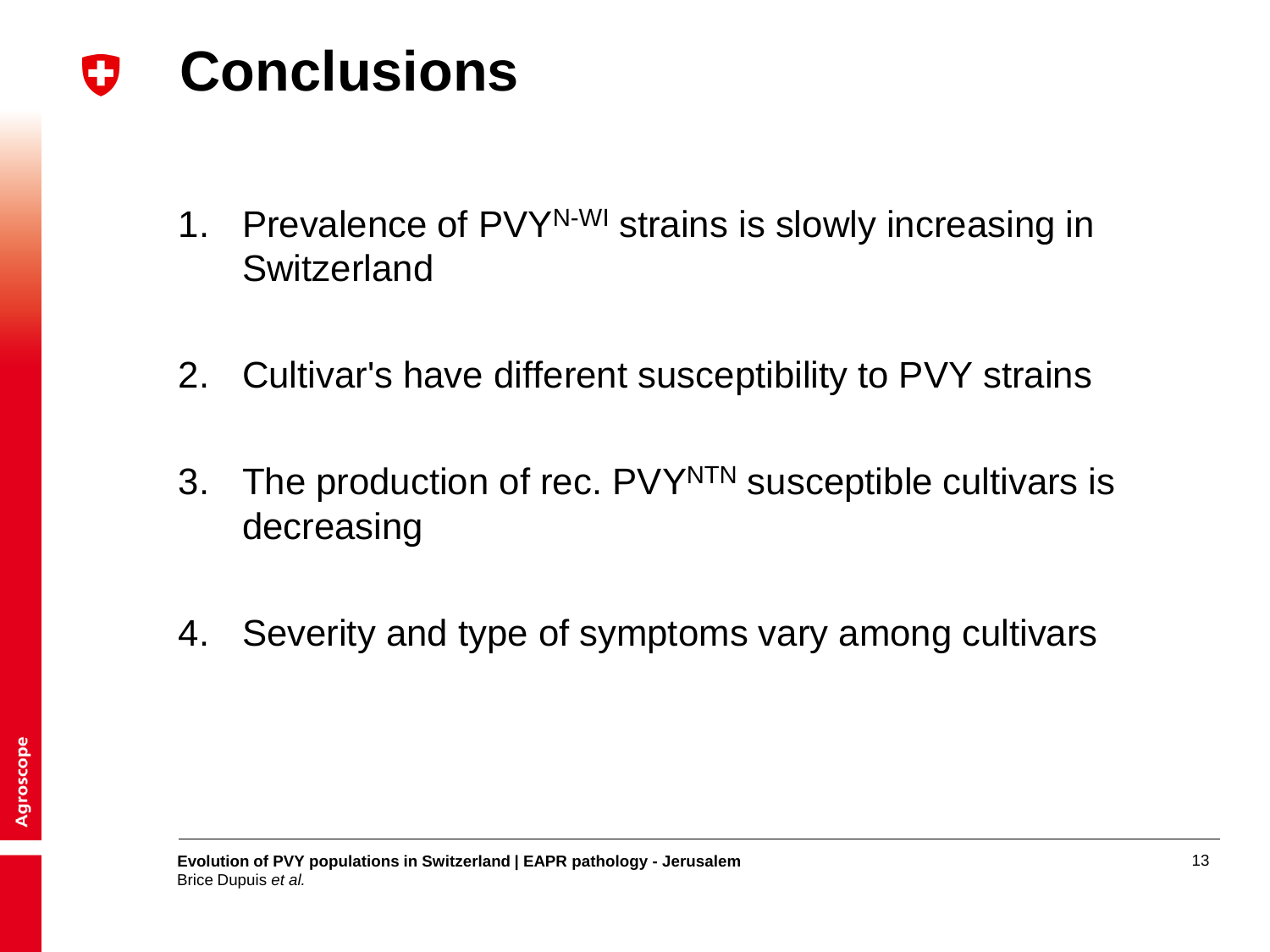**Conclusions** IJ

- 1. Prevalence of PVY<sup>N-WI</sup> strains is slowly increasing in **Switzerland**
- 2. Cultivar's have different susceptibility to PVY strains
- 3. The production of rec. PVY<sup>NTN</sup> susceptible cultivars is decreasing
- 4. Severity and type of symptoms vary among cultivars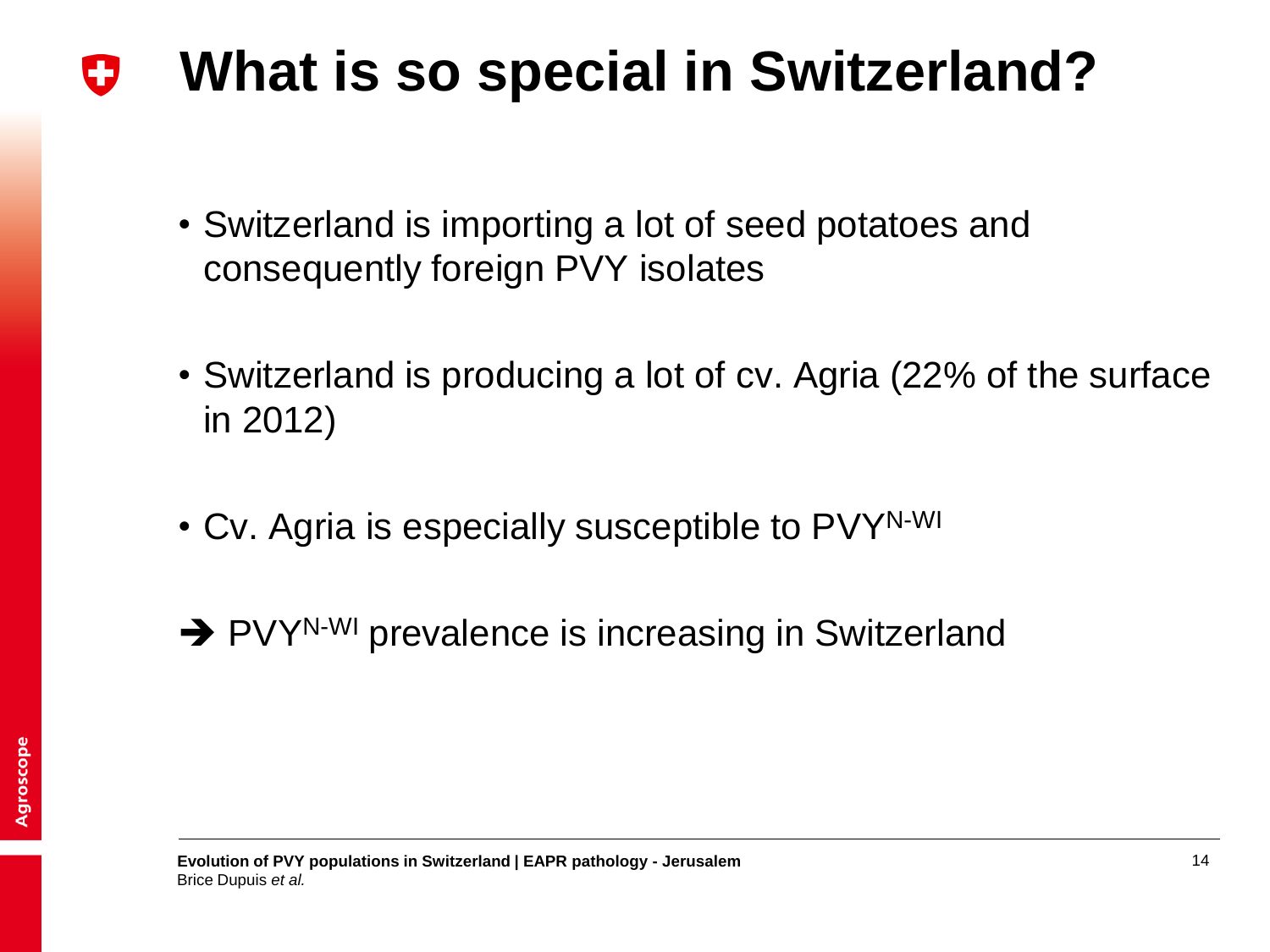#### **What is so special in Switzerland?** U

- Switzerland is importing a lot of seed potatoes and consequently foreign PVY isolates
- Switzerland is producing a lot of cv. Agria (22% of the surface in 2012)
- Cv. Agria is especially susceptible to PVYN-WI
- → PVY<sup>N-WI</sup> prevalence is increasing in Switzerland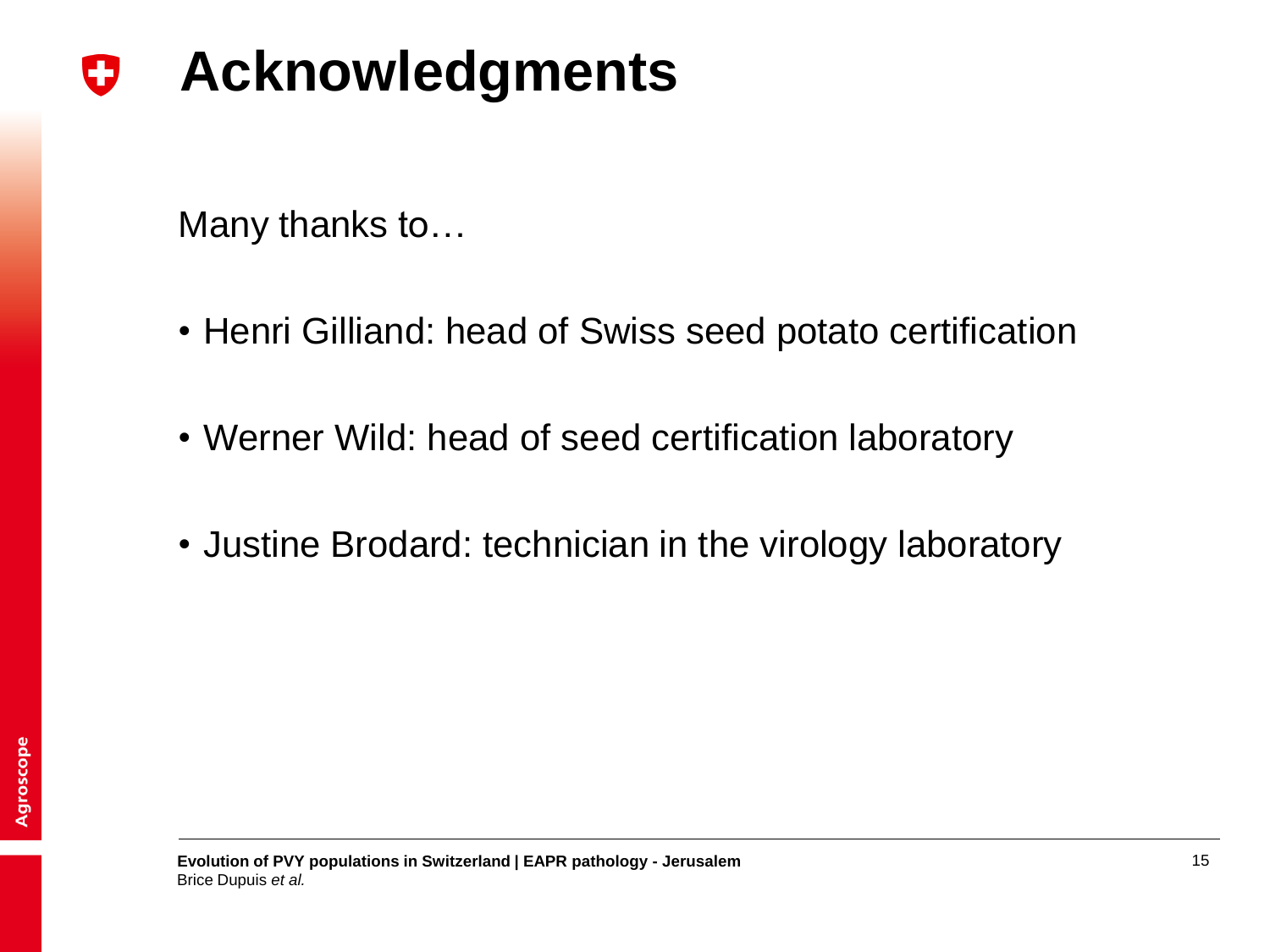#### **Acknowledgments** U

Many thanks to…

- Henri Gilliand: head of Swiss seed potato certification
- Werner Wild: head of seed certification laboratory
- Justine Brodard: technician in the virology laboratory